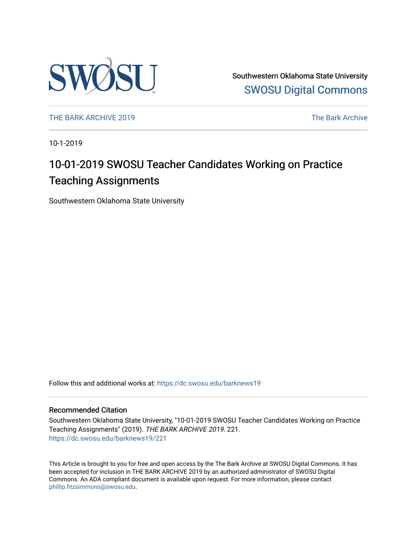

Southwestern Oklahoma State University [SWOSU Digital Commons](https://dc.swosu.edu/) 

[THE BARK ARCHIVE 2019](https://dc.swosu.edu/barknews19) The Bark Archive

10-1-2019

## 10-01-2019 SWOSU Teacher Candidates Working on Practice Teaching Assignments

Southwestern Oklahoma State University

Follow this and additional works at: [https://dc.swosu.edu/barknews19](https://dc.swosu.edu/barknews19?utm_source=dc.swosu.edu%2Fbarknews19%2F221&utm_medium=PDF&utm_campaign=PDFCoverPages)

#### Recommended Citation

Southwestern Oklahoma State University, "10-01-2019 SWOSU Teacher Candidates Working on Practice Teaching Assignments" (2019). THE BARK ARCHIVE 2019. 221. [https://dc.swosu.edu/barknews19/221](https://dc.swosu.edu/barknews19/221?utm_source=dc.swosu.edu%2Fbarknews19%2F221&utm_medium=PDF&utm_campaign=PDFCoverPages)

This Article is brought to you for free and open access by the The Bark Archive at SWOSU Digital Commons. It has been accepted for inclusion in THE BARK ARCHIVE 2019 by an authorized administrator of SWOSU Digital Commons. An ADA compliant document is available upon request. For more information, please contact [phillip.fitzsimmons@swosu.edu](mailto:phillip.fitzsimmons@swosu.edu).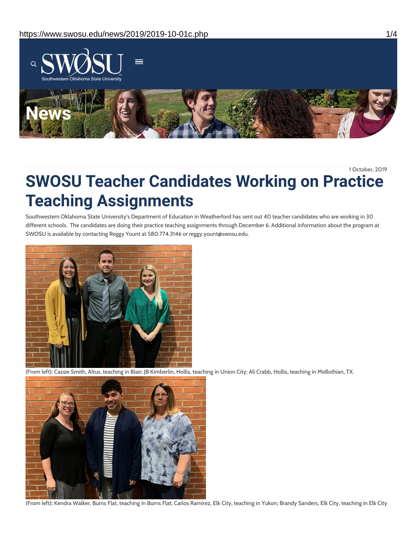

1 October, 2019

# **SWOSU Teacher Candidates Working on Practice Teaching Assignments**

Southwestern Oklahoma State University's Department of Education in Weatherford has sent out 40 teacher candidates who are working in 30 different schools. The candidates are doing their practice teaching assignments through December 6. Additional information about the program at SWOSU is available by contacting Reggy Yount at 580.774.3146 or reggy.yount@swosu.edu.



(From left): Cassie Smith, Altus, teaching in Blair; JB Kimberlin, Hollis, teaching in Union City; Ali Crabb, Hollis, teaching in Midlothian, TX.



```
(From left): Kendra Walker, Burns Flat, teaching in Burns Flat; Carlos Ramirez, Elk City, teaching in Yukon; Brandy Sanders, Elk City, teaching in Elk City
```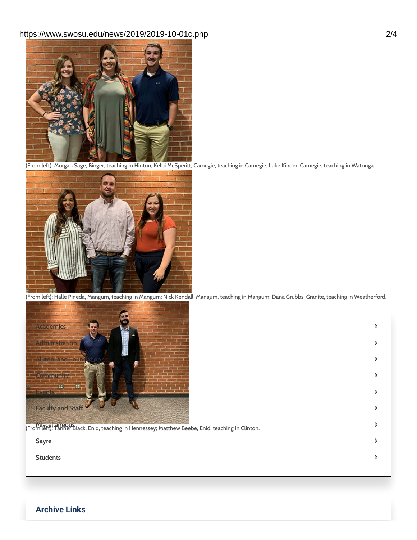

(From left): Morgan Sage, Binger, teaching in Hinton; Kelbi McSperitt, Carnegie, teaching in Carnegie; Luke Kinder, Carnegie, teaching in Watonga.



(From left): Halle Pineda, Mangum, teaching in Mangum; Nick Kendall, Mangum, teaching in Mangum; Dana Grubbs, Granite, teaching in Weatherford.

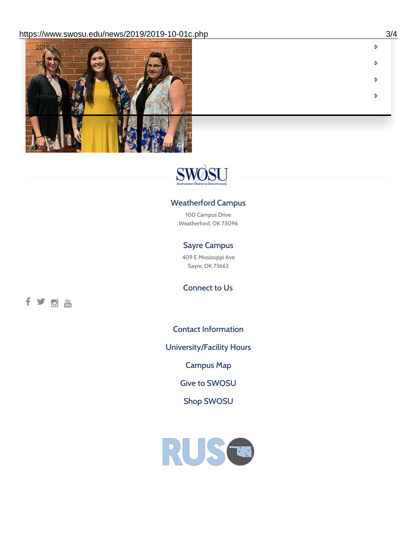

fyph



### Weatherford Campus

100 Campus Drive Weatherford, OK 73096

### Sayre Campus

409 E Mississippi Ave Sayre, OK 73662

Connect to Us

Contact [Information](https://www.swosu.edu/about/contact.php)

[University/Facility](https://www.swosu.edu/about/operating-hours.php) Hours

[Campus](https://map.concept3d.com/?id=768#!ct/10964,10214,10213,10212,10205,10204,10203,10202,10136,10129,10128,0,31226,10130,10201,10641,0) Map

Give to [SWOSU](https://standingfirmly.com/donate)

Shop [SWOSU](https://shopswosu.merchorders.com/)